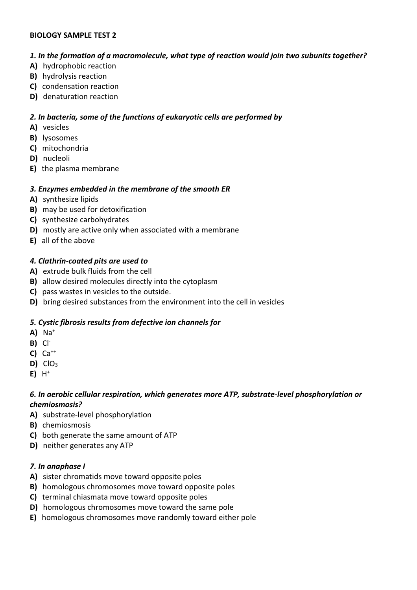### BIOLOGY SAMPLE TEST 2

### 1. In the formation of a macromolecule, what type of reaction would join two subunits together?

- A) hydrophobic reaction
- B) hydrolysis reaction
- C) condensation reaction
- D) denaturation reaction

## 2. In bacteria, some of the functions of eukaryotic cells are performed by

- A) vesicles
- B) lysosomes
- C) mitochondria
- D) nucleoli
- E) the plasma membrane

## 3. Enzymes embedded in the membrane of the smooth ER

- A) synthesize lipids
- B) may be used for detoxification
- C) synthesize carbohydrates
- D) mostly are active only when associated with a membrane
- E) all of the above

## 4. Clathrin-coated pits are used to

- A) extrude bulk fluids from the cell
- B) allow desired molecules directly into the cytoplasm
- C) pass wastes in vesicles to the outside.
- D) bring desired substances from the environment into the cell in vesicles

## 5. Cystic fibrosis results from defective ion channels for

- $A)$  Na<sup>+</sup>
- B) Cl-
- $C)$   $Ca^{++}$
- $D)$   $ClO<sub>3</sub>$
- $E$ ) H<sup>+</sup>

### 6. In aerobic cellular respiration, which generates more ATP, substrate-level phosphorylation or chemiosmosis?

- A) substrate-level phosphorylation
- B) chemiosmosis
- C) both generate the same amount of ATP
- D) neither generates any ATP

## 7. In anaphase I

- A) sister chromatids move toward opposite poles
- B) homologous chromosomes move toward opposite poles
- C) terminal chiasmata move toward opposite poles
- D) homologous chromosomes move toward the same pole
- E) homologous chromosomes move randomly toward either pole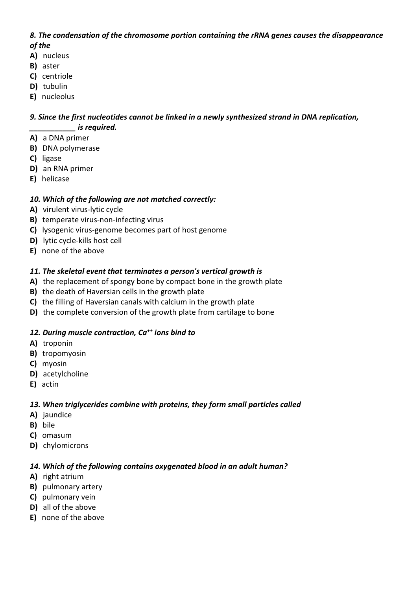## 8. The condensation of the chromosome portion containing the rRNA genes causes the disappearance of the

- A) nucleus
- B) aster
- C) centriole
- D) tubulin
- E) nucleolus

## 9. Since the first nucleotides cannot be linked in a newly synthesized strand in DNA replication, \_\_\_\_\_\_\_\_\_\_\_ is required.

- A) a DNA primer
- B) DNA polymerase
- C) ligase
- D) an RNA primer
- E) helicase

# 10. Which of the following are not matched correctly:

- A) virulent virus-lytic cycle
- B) temperate virus-non-infecting virus
- C) lysogenic virus-genome becomes part of host genome
- D) lytic cycle-kills host cell
- E) none of the above

# 11. The skeletal event that terminates a person's vertical growth is

- A) the replacement of spongy bone by compact bone in the growth plate
- B) the death of Haversian cells in the growth plate
- C) the filling of Haversian canals with calcium in the growth plate
- D) the complete conversion of the growth plate from cartilage to bone

## 12. During muscle contraction,  $Ca^{++}$  ions bind to

- A) troponin
- B) tropomyosin
- C) myosin
- D) acetylcholine
- E) actin

# 13. When triglycerides combine with proteins, they form small particles called

- A) jaundice
- B) bile
- C) omasum
- D) chylomicrons

# 14. Which of the following contains oxygenated blood in an adult human?

- A) right atrium
- B) pulmonary artery
- C) pulmonary vein
- D) all of the above
- E) none of the above